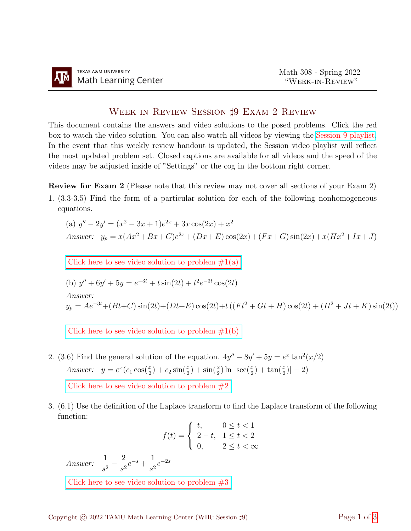## WEEK IN REVIEW SESSION <sup>†</sup> 9 EXAM 2 REVIEW

This document contains the answers and video solutions to the posed problems. Click the red box to watch the video solution. You can also watch all videos by viewing the [Session 9 playlist.](https://www.youtube.com/playlist?list=PLwFg2cC3rFdl7sZidIbi8zNYh8o2kqfJM) In the event that this weekly review handout is updated, the Session video playlist will reflect the most updated problem set. Closed captions are available for all videos and the speed of the videos may be adjusted inside of "Settings" or the cog in the bottom right corner.

Review for Exam 2 (Please note that this review may not cover all sections of your Exam 2)

1. (3.3-3.5) Find the form of a particular solution for each of the following nonhomogeneous equations.

(a) 
$$
y'' - 2y' = (x^2 - 3x + 1)e^{2x} + 3x \cos(2x) + x^2
$$
  
Answer:  $y_p = x(Ax^2 + Bx + C)e^{2x} + (Dx + E)\cos(2x) + (Fx + G)\sin(2x) + x(Hx^2 + Ix + J)$ 

Click here to see video solution to problem  $\#1(a)$ 

(b) 
$$
y'' + 6y' + 5y = e^{-3t} + t \sin(2t) + t^2 e^{-3t} \cos(2t)
$$

$$
Answer:
$$

 $y_p = Ae^{-3t} + (Bt+C)\sin(2t) + (Dt+E)\cos(2t) + t((Ft^2 + Gt + H)\cos(2t) + (It^2 + Jt + K)\sin(2t))$ 

Click here to see video solution to problem  $\#1(b)$ 

2. (3.6) Find the general solution of the equation.  $4y'' - 8y' + 5y = e^x \tan^2(x/2)$ Answer:  $y = e^x (c_1 \cos(\frac{x}{2}) + c_2 \sin(\frac{x}{2}) + \sin(\frac{x}{2}) \ln |\sec(\frac{x}{2}) + \tan(\frac{x}{2})| - 2)$ Click here to see video solution to problem  $#2$ 

3. (6.1) Use the definition of the Laplace transform to find the Laplace transform of the following function:

$$
f(t) = \begin{cases} t, & 0 \le t < 1 \\ 2 - t, & 1 \le t < 2 \\ 0, & 2 \le t < \infty \end{cases}
$$

Answer:  $\frac{1}{4}$  $\frac{1}{s^2} - \frac{2}{s^2}$  $rac{2}{s^2}e^{-s} + \frac{1}{s^2}$  $\frac{1}{s^2}e^{-2s}$ 

Click here to see video solution to problem  $#3$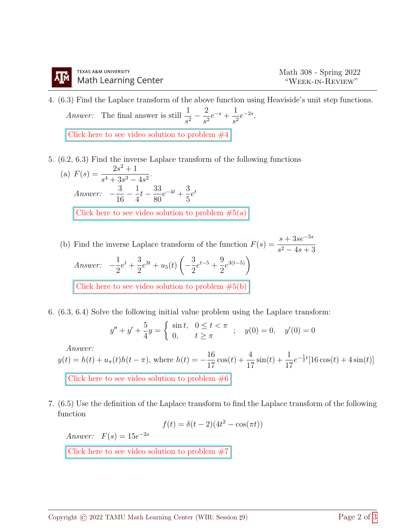4. (6.3) Find the Laplace transform of the above function using Heaviside's unit step functions. *Answer:* The final answer is still  $\frac{1}{4}$  $rac{1}{s^2} - \frac{2}{s^2}$  $rac{2}{s^2}e^{-s} + \frac{1}{s^2}$  $rac{1}{s^2}e^{-2s}$ .

Click here to see video solution to problem  $#4$ 

- 5. (6.2, 6.3) Find the inverse Laplace transform of the following functions
	- (a)  $F(s) = \frac{2s^2 + 1}{s^2}$  $\frac{26}{s^4 + 3s^3 - 4s^2}$ Answer:  $-\frac{3}{16}$ 16  $-\frac{1}{4}$ 4  $t - \frac{33}{20}$ 80  $e^{-4t} + \frac{3}{5}$ 5  $e^t$ Click here to see video solution to problem  $#5(a)$
	- (b) Find the inverse Laplace transform of the function  $F(s) = \frac{s + 3se^{-5s}}{s 4}$  $s^2 - 4s + 3$ Answer:  $-\frac{1}{2}$ 2  $e^{t} + \frac{3}{2}$ 2  $e^{3t} + u_5(t)$  $-\frac{3}{2}$ 2  $e^{t-5} + \frac{9}{2}$ 2  $e^{3(t-5)}$ Click here to see video solution to problem  $#5(b)$
- 6. (6.3, 6.4) Solve the following initial value problem using the Laplace transform:

$$
y'' + y' + \frac{5}{4}y = \begin{cases} \sin t, & 0 \le t < \pi \\ 0, & t \ge \pi \end{cases}; \quad y(0) = 0, \quad y'(0) = 0
$$

 $A$ nswer

$$
y(t) = h(t) + u_{\pi}(t)h(t-\pi)
$$
, where  $h(t) = -\frac{16}{17}\cos(t) + \frac{4}{17}\sin(t) + \frac{1}{17}e^{-\frac{1}{2}t}[16\cos(t) + 4\sin(t)]$   
Click here to see video solution to problem #6

7. (6.5) Use the definition of the Laplace transform to find the Laplace transform of the following function

$$
f(t) = \delta(t - 2)(4t^2 - \cos(\pi t))
$$

Answer:  $F(s) = 15e^{-2s}$ 

Click here to see video solution to problem  $#7$